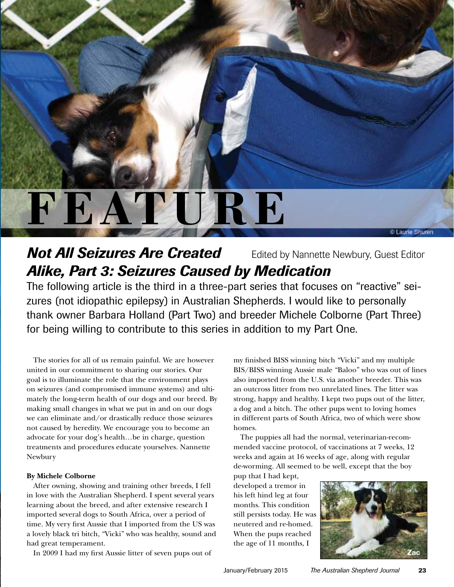# **RE**

# **Not All Seizures Are Created** Edited by Nannette Newbury, Guest Editor *Alike, Part 3: Seizures Caused by Medication*

The following article is the third in a three-part series that focuses on "reactive" seizures (not idiopathic epilepsy) in Australian Shepherds. I would like to personally thank owner Barbara Holland (Part Two) and breeder Michele Colborne (Part Three) for being willing to contribute to this series in addition to my Part One.

The stories for all of us remain painful. We are however united in our commitment to sharing our stories. Our goal is to illuminate the role that the environment plays on seizures (and compromised immune systems) and ultimately the long-term health of our dogs and our breed. By making small changes in what we put in and on our dogs we can eliminate and/or drastically reduce those seizures not caused by heredity. We encourage you to become an advocate for your dog's health…be in charge, question treatments and procedures educate yourselves. Nannette Newbury

## **By Michele Colborne**

After owning, showing and training other breeds, I fell in love with the Australian Shepherd. I spent several years learning about the breed, and after extensive research I imported several dogs to South Africa, over a period of time. My very first Aussie that I imported from the US was a lovely black tri bitch, "Vicki" who was healthy, sound and had great temperament.

In 2009 I had my first Aussie litter of seven pups out of

my finished BISS winning bitch "Vicki" and my multiple BIS/BISS winning Aussie male "Baloo" who was out of lines also imported from the U.S. via another breeder. This was an outcross litter from two unrelated lines. The litter was strong, happy and healthy. I kept two pups out of the litter, a dog and a bitch. The other pups went to loving homes in different parts of South Africa, two of which were show homes.

The puppies all had the normal, veterinarian-recommended vaccine protocol, of vaccinations at 7 weeks, 12 weeks and again at 16 weeks of age, along with regular de-worming. All seemed to be well, except that the boy

pup that I had kept, developed a tremor in his left hind leg at four months. This condition still persists today. He was neutered and re-homed. When the pups reached the age of 11 months, I



C Laurie Shuren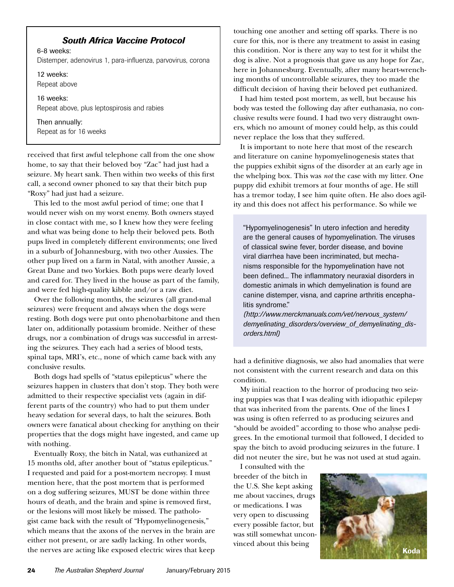# *South Africa Vaccine Protocol*

6-8 weeks: Distemper, adenovirus 1, para-influenza, parvovirus, corona

12 weeks: Repeat above

16 weeks: Repeat above, plus leptospirosis and rabies

Then annually: Repeat as for 16 weeks

received that first awful telephone call from the one show home, to say that their beloved boy "Zac" had just had a seizure. My heart sank. Then within two weeks of this first call, a second owner phoned to say that their bitch pup "Roxy" had just had a seizure.

This led to the most awful period of time; one that I would never wish on my worst enemy. Both owners stayed in close contact with me, so I knew how they were feeling and what was being done to help their beloved pets. Both pups lived in completely different environments; one lived in a suburb of Johannesburg, with two other Aussies. The other pup lived on a farm in Natal, with another Aussie, a Great Dane and two Yorkies. Both pups were dearly loved and cared for. They lived in the house as part of the family, and were fed high-quality kibble and/or a raw diet.

Over the following months, the seizures (all grand-mal seizures) were frequent and always when the dogs were resting. Both dogs were put onto phenobarbitone and then later on, additionally potassium bromide. Neither of these drugs, nor a combination of drugs was successful in arresting the seizures. They each had a series of blood tests, spinal taps, MRI's, etc., none of which came back with any conclusive results.

Both dogs had spells of "status epilepticus" where the seizures happen in clusters that don't stop. They both were admitted to their respective specialist vets (again in different parts of the country) who had to put them under heavy sedation for several days, to halt the seizures. Both owners were fanatical about checking for anything on their properties that the dogs might have ingested, and came up with nothing.

Eventually Roxy, the bitch in Natal, was euthanized at 15 months old, after another bout of "status epilepticus." I requested and paid for a post-mortem necropsy. I must mention here, that the post mortem that is performed on a dog suffering seizures, MUST be done within three hours of death, and the brain and spine is removed first, or the lesions will most likely be missed. The pathologist came back with the result of "Hypomyelinogenesis," which means that the axons of the nerves in the brain are either not present, or are sadly lacking. In other words, the nerves are acting like exposed electric wires that keep touching one another and setting off sparks. There is no cure for this, nor is there any treatment to assist in easing this condition. Nor is there any way to test for it whilst the dog is alive. Not a prognosis that gave us any hope for Zac, here in Johannesburg. Eventually, after many heart-wrenching months of uncontrollable seizures, they too made the difficult decision of having their beloved pet euthanized.

I had him tested post mortem, as well, but because his body was tested the following day after euthanasia, no conclusive results were found. I had two very distraught owners, which no amount of money could help, as this could never replace the loss that they suffered.

It is important to note here that most of the research and literature on canine hypomyelinogenesis states that the puppies exhibit signs of the disorder at an early age in the whelping box. This was *not* the case with my litter. One puppy did exhibit tremors at four months of age. He still has a tremor today, I see him quite often. He also does agility and this does not affect his performance. So while we

"Hypomyelinogenesis" In utero infection and heredity are the general causes of hypomyelination. The viruses of classical swine fever, border disease, and bovine viral diarrhea have been incriminated, but mechanisms responsible for the hypomyelination have not been defined... The inflammatory neuraxial disorders in domestic animals in which demyelination is found are canine distemper, visna, and caprine arthritis encephalitis syndrome."

*(http://www.merckmanuals.com/vet/nervous\_system/ demyelinating\_disorders/overview\_of\_demyelinating\_disorders.html)*

had a definitive diagnosis, we also had anomalies that were not consistent with the current research and data on this condition.

My initial reaction to the horror of producing two seizing puppies was that I was dealing with idiopathic epilepsy that was inherited from the parents. One of the lines I was using is often referred to as producing seizures and "should be avoided" according to those who analyse pedigrees. In the emotional turmoil that followed, I decided to spay the bitch to avoid producing seizures in the future. I did not neuter the sire, but he was not used at stud again.

I consulted with the breeder of the bitch in the U.S. She kept asking me about vaccines, drugs or medications. I was very open to discussing every possible factor, but was still somewhat unconvinced about this being

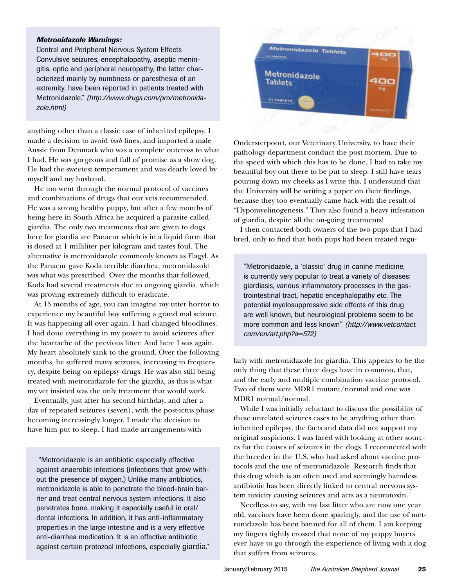#### *Metronidazole Warnings:*

Central and Peripheral Nervous System Effects Convulsive seizures, encephalopathy, aseptic meningitis, optic and peripheral neuropathy, the latter characterized mainly by numbness or paresthesia of an extremity, have been reported in patients treated with Metronidazole." *(http://www.drugs.com/pro/metronidazole.html)*

anything other than a classic case of inherited epilepsy. I made a decision to avoid *both* lines, and imported a male Aussie from Denmark who was a complete outcross to what I had. He was gorgeous and full of promise as a show dog. He had the sweetest temperament and was dearly loved by myself and my husband.

He too went through the normal protocol of vaccines and combinations of drugs that our vets recommended. He was a strong healthy puppy, but after a few months of being here in South Africa he acquired a parasite called giardia. The only two treatments that are given to dogs here for giardia are Panacur which is in a liquid form that is dosed at 1 milliliter per kilogram and tastes foul. The alternative is metronidazole commonly known as Flagyl. As the Panacur gave Koda terrible diarrhea, metronidazole was what was prescribed. Over the months that followed, Koda had several treatments due to ongoing giardia, which was proving extremely difficult to eradicate.

At 15 months of age, you can imagine my utter horror to experience my beautiful boy suffering a grand mal seizure. It was happening all over again. I had changed bloodlines. I had done everything in my power to avoid seizures after the heartache of the previous litter. And here I was again. My heart absolutely sank to the ground. Over the following months, he suffered many seizures, increasing in frequency, despite being on epilepsy drugs. He was also still being treated with metronidazole for the giardia, as this is what my vet insisted was the only treatment that would work.

Eventually, just after his second birthday, and after a day of repeated seizures (seven), with the post-ictus phase becoming increasingly longer, I made the decision to have him put to sleep. I had made arrangements with

 "Metronidazole is an antibiotic especially effective against anaerobic infections (infections that grow without the presence of oxygen.) Unlike many antibiotics, metronidazole is able to penetrate the blood-brain barrier and treat central nervous system infections. It also penetrates bone, making it especially useful in oral/ dental infections. In addition, it has anti-inflammatory properties in the large intestine and is a very effective anti-diarrhea medication. It is an effective antibiotic against certain protozoal infections, especially giardia."



Ondersterpoort, our Veterinary University, to have their pathology department conduct the post mortem. Due to the speed with which this has to be done, I had to take my beautiful boy out there to be put to sleep. I still have tears pouring down my cheeks as I write this. I understand that the University will be writing a paper on their findings, because they too eventually came back with the result of "Hypomyelinogenesis." They also found a heavy infestation of giardia, despite all the on-going treatments!

I then contacted both owners of the two pups that I had bred, only to find that both pups had been treated regu-

"Metronidazole, a `classic` drug in canine medicine, is currently very popular to treat a variety of diseases: giardiasis, various inflammatory processes in the gastrointestinal tract, hepatic encephalopathy etc. The potential myelosuppressive side effects of this drug are well known, but neurological problems seem to be more common and less known" *(http://www.vetcontact. com/en/art.php?a=572)*

larly with metronidazole for giardia. This appears to be the only thing that these three dogs have in common, that, and the early and multiple combination vaccine protocol. Two of them were MDR1 mutant/normal and one was MDR1 normal/normal.

While I was initially reluctant to discuss the possibility of these unrelated seizures cases to be anything other than inherited epilepsy, the facts and data did not support my original suspicions. I was faced with looking at other sources for the causes of seizures in the dogs. I reconnected with the breeder in the U.S. who had asked about vaccine protocols and the use of metronidazole. Research finds that this drug which is an often used and seemingly harmless antibiotic has been directly linked to central nervous system toxicity causing seizures and acts as a neurotoxin.

Needless to say, with my last litter who are now one year old, vaccines have been done sparingly, and the use of metronidazole has been banned for all of them. I am keeping my fingers tightly crossed that none of my puppy buyers ever have to go through the experience of living with a dog that suffers from seizures.